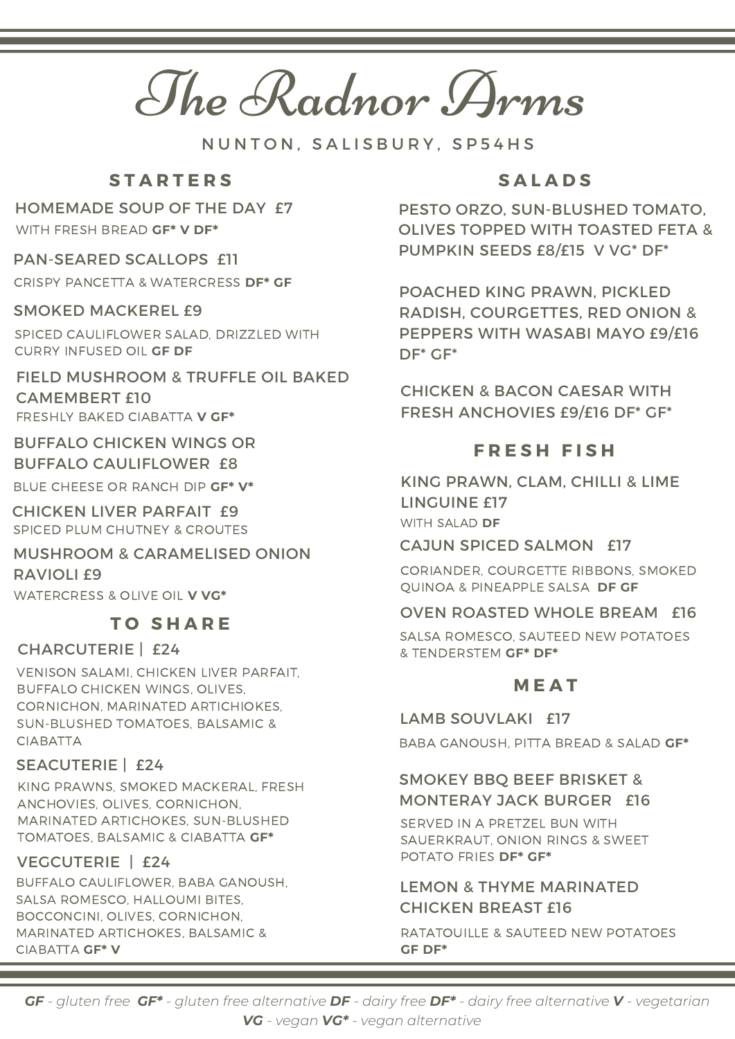The Radnor Arms

N U N T O N . S A L I S B U R Y . S P 5 4 H S

# **S T A R T E R S**

## HOMEMADE SOUP OF THE DAY £7

WITH FRESH BREAD **GF\* V DF\***

#### PAN-SEARED SCALLOPS £11

CRISPY PANCETTA & WATERCRESS **DF\* GF**

## SMOKED MACKEREL £9

SPICED CAULIFLOWER SALAD, DRIZZLED WITH CURRY INFUSED OIL **GF DF**

## FIELD MUSHROOM & TRUFFLE OIL BAKED CAMEMBERT £10 FRESHLY BAKED CIABATTA **V GF\***

## BUFFALO CHICKEN WINGS OR BUFFALO CAULIFLOWER £8

BLUE CHEESE OR RANCH DIP **GF\* V\***

CHICKEN LIVER PARFAIT £9 SPICED PLUM CHUTNEY & CROUTES

#### MUSHROOM & CARAMELISED ONION RAVIOLI £9

WATERCRESS & OLIVE OIL **V VG\***

# **T O S H A R E**

## CHARCUTERIE | £24

VENISON SALAMI, CHICKEN LIVER PARFAIT, BUFFALO CHICKEN WINGS, OLIVES, CORNICHON, MARINATED ARTICHIOKES, SUN-BLUSHED TOMATOES, BALSAMIC & CIABATTA

## SEACUTERIE | £24

KING PRAWNS, SMOKED MACKERAL, FRESH ANCHOVIES, OLIVES, CORNICHON, MARINATED ARTICHOKES, SUN-BLUSHED TOMATOES, BALSAMIC & CIABATTA **GF\***

## VEGCUTERIE | £24

BUFFALO CAULIFLOWER, BABA GANOUSH, SALSA ROMESCO, HALLOUMI BITES, BOCCONCINI, OLIVES, CORNICHON, MARINATED ARTICHOKES, BALSAMIC & CIABATTA **GF\* V**

# **S A L A D S**

PESTO ORZO, SUN-BLUSHED TOMATO, OLIVES TOPPED WITH TOASTED FETA & PUMPKIN SEEDS £8/£15 V VG\* DF\*

POACHED KING PRAWN, PICKLED RADISH, COURGETTES, RED ONION & PEPPERS WITH WASABI MAYO £9/£16 DF\* GF\*

CHICKEN & BACON CAESAR WITH FRESH ANCHOVIES £9/£16 DF\* GF\*

## **F R E S H F I S H**

KING PRAWN, CLAM, CHILLI & LIME LINGUINE £17 WITH SALAD **DF**

#### CAJUN SPICED SALMON £17

CORIANDER, COURGETTE RIBBONS, SMOKED QUINOA & PINEAPPLE SALSA **DF GF**

## OVEN ROASTED WHOLE BREAM £16

SALSA ROMESCO, SAUTEED NEW POTATOES & TENDERSTEM **GF\* DF\***

# **M E A T**

LAMB SOUVLAKI £17

BABA GANOUSH, PITTA BREAD & SALAD **GF\***

## SMOKEY BBQ BEEF BRISKET & MONTERAY JACK BURGER £16

SERVED IN A PRETZEL BUN WITH SAUERKRAUT, ONION RINGS & SWEET POTATO FRIES **DF\* GF\***

## LEMON & THYME MARINATED CHICKEN BREAST £16

RATATOUILLE & SAUTEED NEW POTATOES **GF DF\***